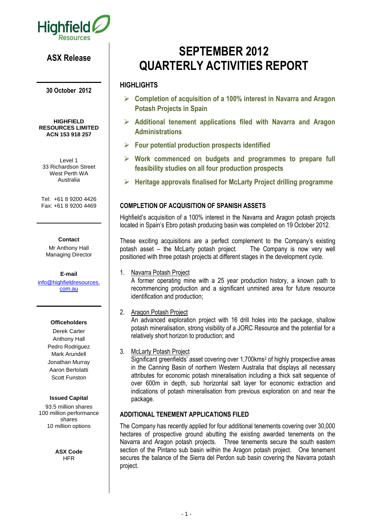

# **ASX Release**

**30 October 2012**

**HIGHFIELD RESOURCES LIMITED ACN 153 918 257**

Level 1 33 Richardson Street West Perth WA Australia

Tel: +61 8 9200 4426 Fax: +61 8 9200 4469

#### **Contact**

Mr Anthony Hall Managing Director

**E-mail** [info@highfieldresources.](mailto:info@highfieldresources.com.au) [com.au](mailto:info@highfieldresources.com.au)

#### **Officeholders**

Derek Carter Anthony Hall Pedro Rodriguez Mark Arundell Jonathan Murray Aaron Bertolatti Scott Funston

#### **Issued Capital**

93.5 million shares 100 million performance shares 10 million options

> **ASX Code HFR**

# **SEPTEMBER 2012 QUARTERLY ACTIVITIES REPORT**

## **HIGHLIGHTS**

- **Completion of acquisition of a 100% interest in Navarra and Aragon Potash Projects in Spain**
- **Additional tenement applications filed with Navarra and Aragon Administrations**
- **Four potential production prospects identified**
- **Work commenced on budgets and programmes to prepare full feasibility studies on all four production prospects**
- **Heritage approvals finalised for McLarty Project drilling programme**

# **COMPLETION OF ACQUISITION OF SPANISH ASSETS**

Highfield's acquisition of a 100% interest in the Navarra and Aragon potash projects located in Spain's Ebro potash producing basin was completed on 19 October 2012.

These exciting acquisitions are a perfect complement to the Company's existing potash asset – the McLarty potash project. The Company is now very well positioned with three potash projects at different stages in the development cycle.

#### 1. Navarra Potash Project

A former operating mine with a 25 year production history, a known path to recommencing production and a significant unmined area for future resource identification and production;

2. Aragon Potash Project

An advanced exploration project with 16 drill holes into the package, shallow potash mineralisation, strong visibility of a JORC Resource and the potential for a relatively short horizon to production; and

#### 3. McLarty Potash Project

Significant greenfields' asset covering over 1,700kms<sup>2</sup> of highly prospective areas in the Canning Basin of northern Western Australia that displays all necessary attributes for economic potash mineralisation including a thick salt sequence of over 600m in depth, sub horizontal salt layer for economic extraction and indications of potash mineralisation from previous exploration on and near the package.

#### **ADDITIONAL TENEMENT APPLICATIONS FILED**

The Company has recently applied for four additional tenements covering over 30,000 hectares of prospective ground abutting the existing awarded tenements on the Navarra and Aragon potash projects. Three tenements secure the south eastern section of the Pintano sub basin within the Aragon potash project. One tenement secures the balance of the Sierra del Perdon sub basin covering the Navarra potash project.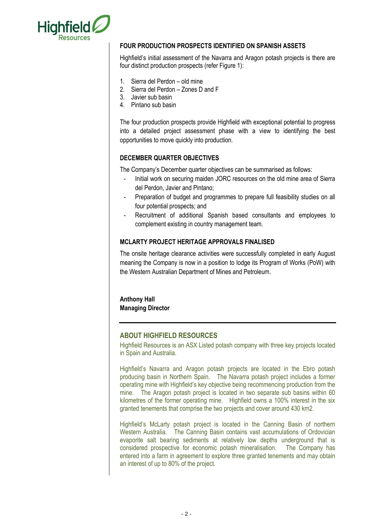

#### **FOUR PRODUCTION PROSPECTS IDENTIFIED ON SPANISH ASSETS**

Highfield's initial assessment of the Navarra and Aragon potash projects is there are four distinct production prospects (refer Figure 1):

- 1. Sierra del Perdon old mine
- 2. Sierra del Perdon Zones D and F
- 3. Javier sub basin
- 4. Pintano sub basin

The four production prospects provide Highfield with exceptional potential to progress into a detailed project assessment phase with a view to identifying the best opportunities to move quickly into production.

#### **DECEMBER QUARTER OBJECTIVES**

The Company's December quarter objectives can be summarised as follows:

- Initial work on securing maiden JORC resources on the old mine area of Sierra del Perdon, Javier and Pintano;
- Preparation of budget and programmes to prepare full feasibility studies on all four potential prospects; and
- Recruitment of additional Spanish based consultants and employees to complement existing in country management team.

#### **MCLARTY PROJECT HERITAGE APPROVALS FINALISED**

The onsite heritage clearance activities were successfully completed in early August meaning the Company is now in a position to lodge its Program of Works (PoW) with the Western Australian Department of Mines and Petroleum.

## **Anthony Hall Managing Director**

#### **ABOUT HIGHFIELD RESOURCES**

Highfield Resources is an ASX Listed potash company with three key projects located in Spain and Australia.

Highfield's Navarra and Aragon potash projects are located in the Ebro potash producing basin in Northern Spain. The Navarra potash project includes a former operating mine with Highfield's key objective being recommencing production from the mine. The Aragon potash project is located in two separate sub basins within 60 kilometres of the former operating mine. Highfield owns a 100% interest in the six granted tenements that comprise the two projects and cover around 430 km2.

Highfield's McLarty potash project is located in the Canning Basin of northern Western Australia. The Canning Basin contains vast accumulations of Ordovician evaporite salt bearing sediments at relatively low depths underground that is considered prospective for economic potash mineralisation. The Company has entered into a farm in agreement to explore three granted tenements and may obtain an interest of up to 80% of the project.